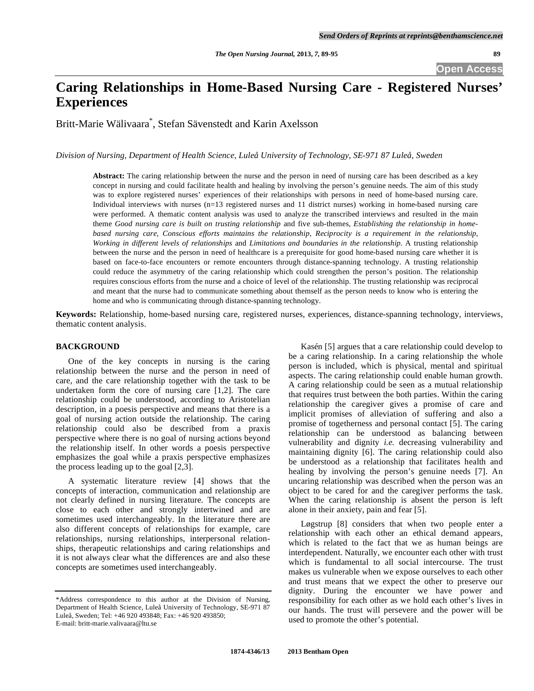# **Caring Relationships in Home-Based Nursing Care - Registered Nurses' Experiences**

Britt-Marie Wälivaara\* , Stefan Sävenstedt and Karin Axelsson

*Division of Nursing, Department of Health Science, Luleå University of Technology, SE-971 87 Luleå, Sweden* 

**Abstract:** The caring relationship between the nurse and the person in need of nursing care has been described as a key concept in nursing and could facilitate health and healing by involving the person's genuine needs. The aim of this study was to explore registered nurses' experiences of their relationships with persons in need of home-based nursing care. Individual interviews with nurses (n=13 registered nurses and 11 district nurses) working in home-based nursing care were performed. A thematic content analysis was used to analyze the transcribed interviews and resulted in the main theme *Good nursing care is built on trusting relationship* and five sub-themes, *Establishing the relationship in homebased nursing care, Conscious efforts maintains the relationship, Reciprocity is a requirement in the relationship, Working in different levels of relationships* and *Limitations and boundaries in the relationship.* A trusting relationship between the nurse and the person in need of healthcare is a prerequisite for good home-based nursing care whether it is based on face-to-face encounters or remote encounters through distance-spanning technology. A trusting relationship could reduce the asymmetry of the caring relationship which could strengthen the person's position. The relationship requires conscious efforts from the nurse and a choice of level of the relationship. The trusting relationship was reciprocal and meant that the nurse had to communicate something about themself as the person needs to know who is entering the home and who is communicating through distance-spanning technology.

**Keywords:** Relationship, home-based nursing care, registered nurses, experiences, distance-spanning technology, interviews, thematic content analysis.

## **BACKGROUND**

 One of the key concepts in nursing is the caring relationship between the nurse and the person in need of care, and the care relationship together with the task to be undertaken form the core of nursing care [1,2]. The care relationship could be understood, according to Aristotelian description, in a poesis perspective and means that there is a goal of nursing action outside the relationship. The caring relationship could also be described from a praxis perspective where there is no goal of nursing actions beyond the relationship itself. In other words a poesis perspective emphasizes the goal while a praxis perspective emphasizes the process leading up to the goal [2,3].

 A systematic literature review [4] shows that the concepts of interaction, communication and relationship are not clearly defined in nursing literature. The concepts are close to each other and strongly intertwined and are sometimes used interchangeably. In the literature there are also different concepts of relationships for example, care relationships, nursing relationships, interpersonal relationships, therapeutic relationships and caring relationships and it is not always clear what the differences are and also these concepts are sometimes used interchangeably.

 Kasén [5] argues that a care relationship could develop to be a caring relationship. In a caring relationship the whole person is included, which is physical, mental and spiritual aspects. The caring relationship could enable human growth. A caring relationship could be seen as a mutual relationship that requires trust between the both parties. Within the caring relationship the caregiver gives a promise of care and implicit promises of alleviation of suffering and also a promise of togetherness and personal contact [5]. The caring relationship can be understood as balancing between vulnerability and dignity *i.e.* decreasing vulnerability and maintaining dignity [6]. The caring relationship could also be understood as a relationship that facilitates health and healing by involving the person's genuine needs [7]. An uncaring relationship was described when the person was an object to be cared for and the caregiver performs the task. When the caring relationship is absent the person is left alone in their anxiety, pain and fear [5].

 Løgstrup [8] considers that when two people enter a relationship with each other an ethical demand appears, which is related to the fact that we as human beings are interdependent. Naturally, we encounter each other with trust which is fundamental to all social intercourse. The trust makes us vulnerable when we expose ourselves to each other and trust means that we expect the other to preserve our dignity. During the encounter we have power and responsibility for each other as we hold each other's lives in our hands. The trust will persevere and the power will be used to promote the other's potential.

<sup>\*</sup>Address correspondence to this author at the Division of Nursing, Department of Health Science, Luleå University of Technology, SE-971 87 Luleå, Sweden; Tel: +46 920 493848; Fax: +46 920 493850; E-mail: britt-marie.valivaara@ltu.se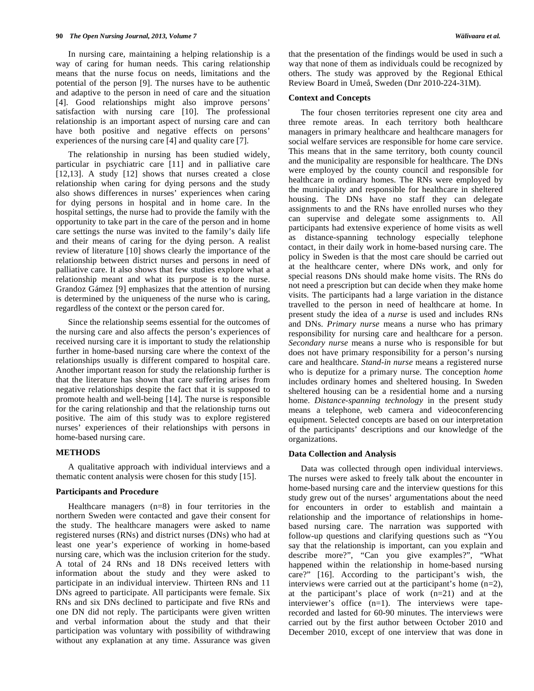In nursing care, maintaining a helping relationship is a way of caring for human needs. This caring relationship means that the nurse focus on needs, limitations and the potential of the person [9]. The nurses have to be authentic and adaptive to the person in need of care and the situation [4]. Good relationships might also improve persons' satisfaction with nursing care [10]. The professional relationship is an important aspect of nursing care and can have both positive and negative effects on persons' experiences of the nursing care [4] and quality care [7].

 The relationship in nursing has been studied widely, particular in psychiatric care [11] and in palliative care [12,13]. A study [12] shows that nurses created a close relationship when caring for dying persons and the study also shows differences in nurses' experiences when caring for dying persons in hospital and in home care. In the hospital settings, the nurse had to provide the family with the opportunity to take part in the care of the person and in home care settings the nurse was invited to the family's daily life and their means of caring for the dying person. A realist review of literature [10] shows clearly the importance of the relationship between district nurses and persons in need of palliative care. It also shows that few studies explore what a relationship meant and what its purpose is to the nurse. Grandoz Gámez [9] emphasizes that the attention of nursing is determined by the uniqueness of the nurse who is caring, regardless of the context or the person cared for.

 Since the relationship seems essential for the outcomes of the nursing care and also affects the person's experiences of received nursing care it is important to study the relationship further in home-based nursing care where the context of the relationships usually is different compared to hospital care. Another important reason for study the relationship further is that the literature has shown that care suffering arises from negative relationships despite the fact that it is supposed to promote health and well-being [14]. The nurse is responsible for the caring relationship and that the relationship turns out positive. The aim of this study was to explore registered nurses' experiences of their relationships with persons in home-based nursing care.

#### **METHODS**

 A qualitative approach with individual interviews and a thematic content analysis were chosen for this study [15].

#### **Participants and Procedure**

 Healthcare managers (n=8) in four territories in the northern Sweden were contacted and gave their consent for the study. The healthcare managers were asked to name registered nurses (RNs) and district nurses (DNs) who had at least one year's experience of working in home-based nursing care, which was the inclusion criterion for the study. A total of 24 RNs and 18 DNs received letters with information about the study and they were asked to participate in an individual interview. Thirteen RNs and 11 DNs agreed to participate. All participants were female. Six RNs and six DNs declined to participate and five RNs and one DN did not reply. The participants were given written and verbal information about the study and that their participation was voluntary with possibility of withdrawing without any explanation at any time. Assurance was given

that the presentation of the findings would be used in such a way that none of them as individuals could be recognized by others. The study was approved by the Regional Ethical Review Board in Umeå, Sweden (Dnr 2010-224-31M).

#### **Context and Concepts**

 The four chosen territories represent one city area and three remote areas. In each territory both healthcare managers in primary healthcare and healthcare managers for social welfare services are responsible for home care service. This means that in the same territory, both county council and the municipality are responsible for healthcare. The DNs were employed by the county council and responsible for healthcare in ordinary homes. The RNs were employed by the municipality and responsible for healthcare in sheltered housing. The DNs have no staff they can delegate assignments to and the RNs have enrolled nurses who they can supervise and delegate some assignments to. All participants had extensive experience of home visits as well as distance-spanning technology especially telephone contact, in their daily work in home-based nursing care. The policy in Sweden is that the most care should be carried out at the healthcare center, where DNs work, and only for special reasons DNs should make home visits. The RNs do not need a prescription but can decide when they make home visits. The participants had a large variation in the distance travelled to the person in need of healthcare at home. In present study the idea of a *nurse* is used and includes RNs and DNs. *Primary nurse* means a nurse who has primary responsibility for nursing care and healthcare for a person. *Secondary nurse* means a nurse who is responsible for but does not have primary responsibility for a person's nursing care and healthcare. *Stand-in nurse* means a registered nurse who is deputize for a primary nurse. The conception *home*  includes ordinary homes and sheltered housing. In Sweden sheltered housing can be a residential home and a nursing home. *Distance-spanning technology* in the present study means a telephone, web camera and videoconferencing equipment. Selected concepts are based on our interpretation of the participants' descriptions and our knowledge of the organizations.

#### **Data Collection and Analysis**

 Data was collected through open individual interviews. The nurses were asked to freely talk about the encounter in home-based nursing care and the interview questions for this study grew out of the nurses' argumentations about the need for encounters in order to establish and maintain a relationship and the importance of relationships in homebased nursing care. The narration was supported with follow-up questions and clarifying questions such as "You say that the relationship is important, can you explain and describe more?", "Can you give examples?", "What happened within the relationship in home-based nursing care?" [16]. According to the participant's wish, the interviews were carried out at the participant's home (n=2), at the participant's place of work (n=21) and at the interviewer's office (n=1). The interviews were taperecorded and lasted for 60-90 minutes. The interviews were carried out by the first author between October 2010 and December 2010, except of one interview that was done in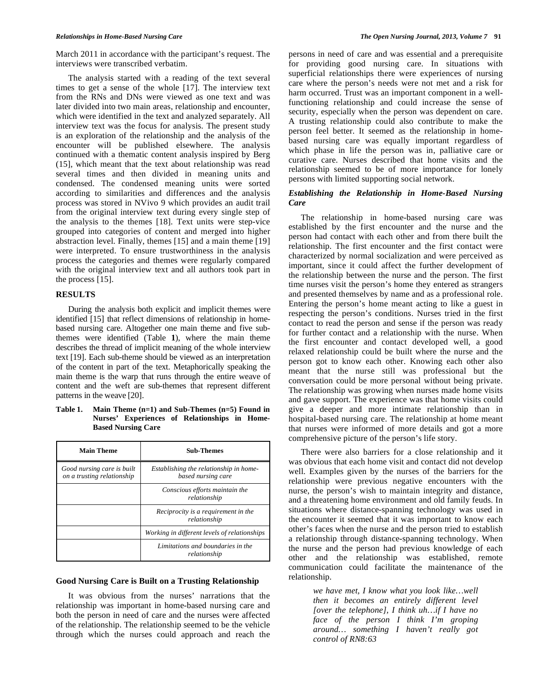March 2011 in accordance with the participant's request. The interviews were transcribed verbatim.

 The analysis started with a reading of the text several times to get a sense of the whole [17]. The interview text from the RNs and DNs were viewed as one text and was later divided into two main areas, relationship and encounter, which were identified in the text and analyzed separately. All interview text was the focus for analysis. The present study is an exploration of the relationship and the analysis of the encounter will be published elsewhere. The analysis continued with a thematic content analysis inspired by Berg (15], which meant that the text about relationship was read several times and then divided in meaning units and condensed. The condensed meaning units were sorted according to similarities and differences and the analysis process was stored in NVivo 9 which provides an audit trail from the original interview text during every single step of the analysis to the themes [18]. Text units were step-vice grouped into categories of content and merged into higher abstraction level. Finally, themes [15] and a main theme [19] were interpreted. To ensure trustworthiness in the analysis process the categories and themes were regularly compared with the original interview text and all authors took part in the process [15].

#### **RESULTS**

 During the analysis both explicit and implicit themes were identified [15] that reflect dimensions of relationship in homebased nursing care. Altogether one main theme and five subthemes were identified (Table **1**), where the main theme describes the thread of implicit meaning of the whole interview text [19]. Each sub-theme should be viewed as an interpretation of the content in part of the text. Metaphorically speaking the main theme is the warp that runs through the entire weave of content and the weft are sub-themes that represent different patterns in the weave [20].

**Table 1. Main Theme (n=1) and Sub-Themes (n=5) Found in Nurses' Experiences of Relationships in Home-Based Nursing Care** 

| <b>Main Theme</b>                                        | <b>Sub-Themes</b>                                            |
|----------------------------------------------------------|--------------------------------------------------------------|
| Good nursing care is built<br>on a trusting relationship | Establishing the relationship in home-<br>based nursing care |
|                                                          | Conscious efforts maintain the<br>relationship               |
|                                                          | Reciprocity is a requirement in the<br>relationship          |
|                                                          | Working in different levels of relationships                 |
|                                                          | Limitations and boundaries in the<br>relationship            |

# **Good Nursing Care is Built on a Trusting Relationship**

 It was obvious from the nurses' narrations that the relationship was important in home-based nursing care and both the person in need of care and the nurses were affected of the relationship. The relationship seemed to be the vehicle through which the nurses could approach and reach the

persons in need of care and was essential and a prerequisite for providing good nursing care. In situations with superficial relationships there were experiences of nursing care where the person's needs were not met and a risk for harm occurred. Trust was an important component in a wellfunctioning relationship and could increase the sense of security, especially when the person was dependent on care. A trusting relationship could also contribute to make the person feel better. It seemed as the relationship in homebased nursing care was equally important regardless of which phase in life the person was in, palliative care or curative care. Nurses described that home visits and the relationship seemed to be of more importance for lonely persons with limited supporting social network.

#### *Establishing the Relationship in Home-Based Nursing Care*

 The relationship in home-based nursing care was established by the first encounter and the nurse and the person had contact with each other and from there built the relationship. The first encounter and the first contact were characterized by normal socialization and were perceived as important, since it could affect the further development of the relationship between the nurse and the person. The first time nurses visit the person's home they entered as strangers and presented themselves by name and as a professional role. Entering the person's home meant acting to like a guest in respecting the person's conditions. Nurses tried in the first contact to read the person and sense if the person was ready for further contact and a relationship with the nurse. When the first encounter and contact developed well, a good relaxed relationship could be built where the nurse and the person got to know each other. Knowing each other also meant that the nurse still was professional but the conversation could be more personal without being private. The relationship was growing when nurses made home visits and gave support. The experience was that home visits could give a deeper and more intimate relationship than in hospital-based nursing care. The relationship at home meant that nurses were informed of more details and got a more comprehensive picture of the person's life story.

 There were also barriers for a close relationship and it was obvious that each home visit and contact did not develop well. Examples given by the nurses of the barriers for the relationship were previous negative encounters with the nurse, the person's wish to maintain integrity and distance, and a threatening home environment and old family feuds. In situations where distance-spanning technology was used in the encounter it seemed that it was important to know each other's faces when the nurse and the person tried to establish a relationship through distance-spanning technology. When the nurse and the person had previous knowledge of each other and the relationship was established, remote communication could facilitate the maintenance of the relationship.

> *we have met, I know what you look like…well then it becomes an entirely different level [over the telephone], I think uh…if I have no face of the person I think I'm groping around… something I haven't really got control of RN8:63*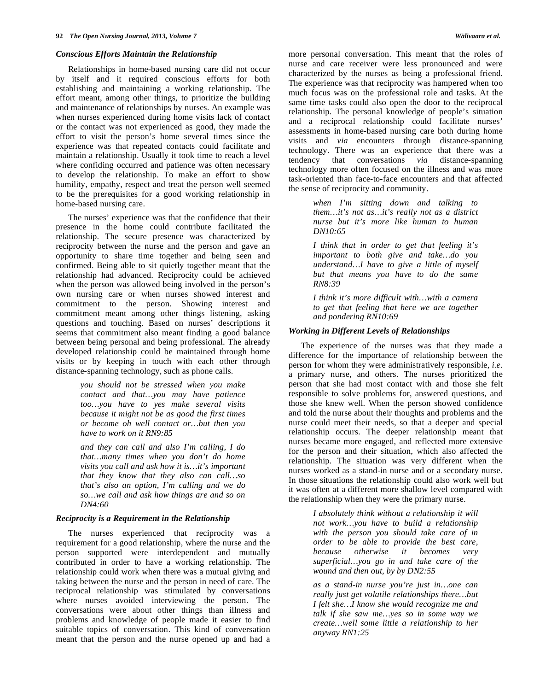#### *Conscious Efforts Maintain the Relationship*

 Relationships in home-based nursing care did not occur by itself and it required conscious efforts for both establishing and maintaining a working relationship. The effort meant, among other things, to prioritize the building and maintenance of relationships by nurses. An example was when nurses experienced during home visits lack of contact or the contact was not experienced as good, they made the effort to visit the person's home several times since the experience was that repeated contacts could facilitate and maintain a relationship. Usually it took time to reach a level where confiding occurred and patience was often necessary to develop the relationship. To make an effort to show humility, empathy, respect and treat the person well seemed to be the prerequisites for a good working relationship in home-based nursing care.

The nurses' experience was that the confidence that their presence in the home could contribute facilitated the relationship. The secure presence was characterized by reciprocity between the nurse and the person and gave an opportunity to share time together and being seen and confirmed. Being able to sit quietly together meant that the relationship had advanced. Reciprocity could be achieved when the person was allowed being involved in the person's own nursing care or when nurses showed interest and commitment to the person. Showing interest and commitment meant among other things listening, asking questions and touching. Based on nurses' descriptions it seems that commitment also meant finding a good balance between being personal and being professional. The already developed relationship could be maintained through home visits or by keeping in touch with each other through distance-spanning technology, such as phone calls.

> *you should not be stressed when you make contact and that…you may have patience too…you have to yes make several visits because it might not be as good the first times or become oh well contact or…but then you have to work on it RN9:85*

> *and they can call and also I'm calling, I do that…many times when you don't do home visits you call and ask how it is…it's important that they know that they also can call…so that's also an option, I'm calling and we do so…we call and ask how things are and so on DN4:60*

#### *Reciprocity is a Requirement in the Relationship*

 The nurses experienced that reciprocity was a requirement for a good relationship, where the nurse and the person supported were interdependent and mutually contributed in order to have a working relationship. The relationship could work when there was a mutual giving and taking between the nurse and the person in need of care. The reciprocal relationship was stimulated by conversations where nurses avoided interviewing the person. The conversations were about other things than illness and problems and knowledge of people made it easier to find suitable topics of conversation. This kind of conversation meant that the person and the nurse opened up and had a

more personal conversation. This meant that the roles of nurse and care receiver were less pronounced and were characterized by the nurses as being a professional friend. The experience was that reciprocity was hampered when too much focus was on the professional role and tasks. At the same time tasks could also open the door to the reciprocal relationship. The personal knowledge of people's situation and a reciprocal relationship could facilitate nurses' assessments in home-based nursing care both during home visits and *via* encounters through distance-spanning technology. There was an experience that there was a tendency that conversations *via* distance-spanning technology more often focused on the illness and was more task-oriented than face-to-face encounters and that affected

> *when I'm sitting down and talking to them…it's not as…it's really not as a district nurse but it's more like human to human DN10:65*

> *I think that in order to get that feeling it's important to both give and take…do you understand…I have to give a little of myself but that means you have to do the same RN8:39*

> *I think it's more difficult with…with a camera to get that feeling that here we are together and pondering RN10:69*

#### *Working in Different Levels of Relationships*

the sense of reciprocity and community.

 The experience of the nurses was that they made a difference for the importance of relationship between the person for whom they were administratively responsible, *i.e.*  a primary nurse, and others. The nurses prioritized the person that she had most contact with and those she felt responsible to solve problems for, answered questions, and those she knew well. When the person showed confidence and told the nurse about their thoughts and problems and the nurse could meet their needs, so that a deeper and special relationship occurs. The deeper relationship meant that nurses became more engaged, and reflected more extensive for the person and their situation, which also affected the relationship. The situation was very different when the nurses worked as a stand-in nurse and or a secondary nurse. In those situations the relationship could also work well but it was often at a different more shallow level compared with the relationship when they were the primary nurse.

> *I absolutely think without a relationship it will not work…you have to build a relationship with the person you should take care of in order to be able to provide the best care, because otherwise it becomes very superficial…you go in and take care of the wound and then out, by by DN2:55*

> *as a stand-in nurse you're just in…one can really just get volatile relationships there…but I felt she…I know she would recognize me and talk if she saw me…yes so in some way we create…well some little a relationship to her anyway RN1:25*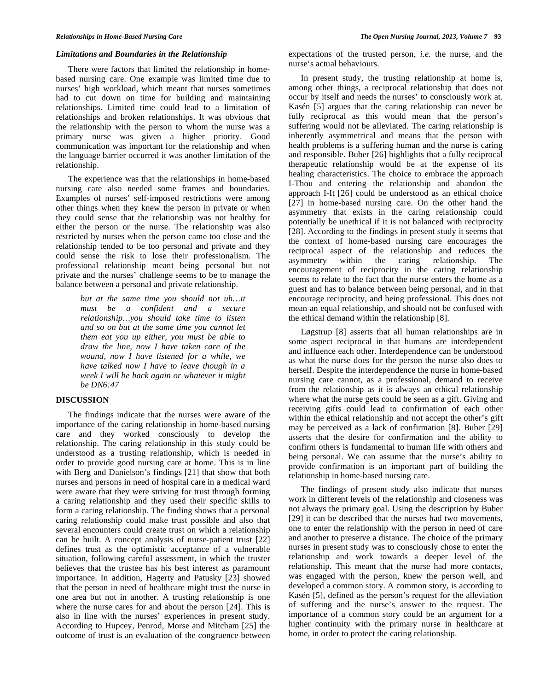#### *Limitations and Boundaries in the Relationship*

 There were factors that limited the relationship in homebased nursing care. One example was limited time due to nurses' high workload, which meant that nurses sometimes had to cut down on time for building and maintaining relationships. Limited time could lead to a limitation of relationships and broken relationships. It was obvious that the relationship with the person to whom the nurse was a primary nurse was given a higher priority. Good communication was important for the relationship and when the language barrier occurred it was another limitation of the relationship.

 The experience was that the relationships in home-based nursing care also needed some frames and boundaries. Examples of nurses' self-imposed restrictions were among other things when they knew the person in private or when they could sense that the relationship was not healthy for either the person or the nurse. The relationship was also restricted by nurses when the person came too close and the relationship tended to be too personal and private and they could sense the risk to lose their professionalism. The professional relationship meant being personal but not private and the nurses' challenge seems to be to manage the balance between a personal and private relationship.

> *but at the same time you should not uh…it must be a confident and a secure relationship…you should take time to listen and so on but at the same time you cannot let them eat you up either, you must be able to draw the line, now I have taken care of the wound, now I have listened for a while, we have talked now I have to leave though in a week I will be back again or whatever it might be DN6:47*

## **DISCUSSION**

 The findings indicate that the nurses were aware of the importance of the caring relationship in home-based nursing care and they worked consciously to develop the relationship. The caring relationship in this study could be understood as a trusting relationship, which is needed in order to provide good nursing care at home. This is in line with Berg and Danielson's findings [21] that show that both nurses and persons in need of hospital care in a medical ward were aware that they were striving for trust through forming a caring relationship and they used their specific skills to form a caring relationship. The finding shows that a personal caring relationship could make trust possible and also that several encounters could create trust on which a relationship can be built. A concept analysis of nurse-patient trust [22] defines trust as the optimistic acceptance of a vulnerable situation, following careful assessment, in which the truster believes that the trustee has his best interest as paramount importance. In addition, Hagerty and Patusky [23] showed that the person in need of healthcare might trust the nurse in one area but not in another. A trusting relationship is one where the nurse cares for and about the person [24]. This is also in line with the nurses' experiences in present study. According to Hupcey, Penrod, Morse and Mitcham [25] the outcome of trust is an evaluation of the congruence between

expectations of the trusted person, *i.e.* the nurse, and the nurse's actual behaviours.

 In present study, the trusting relationship at home is, among other things, a reciprocal relationship that does not occur by itself and needs the nurses' to consciously work at. Kasén [5] argues that the caring relationship can never be fully reciprocal as this would mean that the person's suffering would not be alleviated. The caring relationship is inherently asymmetrical and means that the person with health problems is a suffering human and the nurse is caring and responsible. Buber [26] highlights that a fully reciprocal therapeutic relationship would be at the expense of its healing characteristics. The choice to embrace the approach I-Thou and entering the relationship and abandon the approach I-It [26] could be understood as an ethical choice [27] in home-based nursing care. On the other hand the asymmetry that exists in the caring relationship could potentially be unethical if it is not balanced with reciprocity [28]. According to the findings in present study it seems that the context of home-based nursing care encourages the reciprocal aspect of the relationship and reduces the asymmetry within the caring relationship. The encouragement of reciprocity in the caring relationship seems to relate to the fact that the nurse enters the home as a guest and has to balance between being personal, and in that encourage reciprocity, and being professional. This does not mean an equal relationship, and should not be confused with the ethical demand within the relationship [8].

 Løgstrup [8] asserts that all human relationships are in some aspect reciprocal in that humans are interdependent and influence each other. Interdependence can be understood as what the nurse does for the person the nurse also does to herself. Despite the interdependence the nurse in home-based nursing care cannot, as a professional, demand to receive from the relationship as it is always an ethical relationship where what the nurse gets could be seen as a gift. Giving and receiving gifts could lead to confirmation of each other within the ethical relationship and not accept the other's gift may be perceived as a lack of confirmation [8]. Buber [29] asserts that the desire for confirmation and the ability to confirm others is fundamental to human life with others and being personal. We can assume that the nurse's ability to provide confirmation is an important part of building the relationship in home-based nursing care.

 The findings of present study also indicate that nurses work in different levels of the relationship and closeness was not always the primary goal. Using the description by Buber [29] it can be described that the nurses had two movements, one to enter the relationship with the person in need of care and another to preserve a distance. The choice of the primary nurses in present study was to consciously chose to enter the relationship and work towards a deeper level of the relationship. This meant that the nurse had more contacts, was engaged with the person, knew the person well, and developed a common story. A common story, is according to Kasén [5], defined as the person's request for the alleviation of suffering and the nurse's answer to the request. The importance of a common story could be an argument for a higher continuity with the primary nurse in healthcare at home, in order to protect the caring relationship.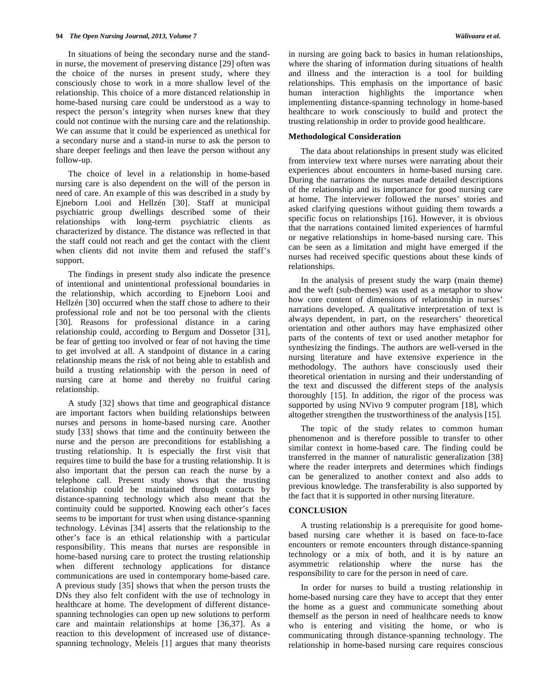In situations of being the secondary nurse and the standin nurse, the movement of preserving distance [29] often was the choice of the nurses in present study, where they consciously chose to work in a more shallow level of the relationship. This choice of a more distanced relationship in home-based nursing care could be understood as a way to respect the person's integrity when nurses knew that they could not continue with the nursing care and the relationship. We can assume that it could be experienced as unethical for a secondary nurse and a stand-in nurse to ask the person to share deeper feelings and then leave the person without any follow-up.

 The choice of level in a relationship in home-based nursing care is also dependent on the will of the person in need of care. An example of this was described in a study by Ejneborn Looi and Hellzén [30]. Staff at municipal psychiatric group dwellings described some of their relationships with long-term psychiatric clients as characterized by distance. The distance was reflected in that the staff could not reach and get the contact with the client when clients did not invite them and refused the staff's support.

 The findings in present study also indicate the presence of intentional and unintentional professional boundaries in the relationship, which according to Ejneborn Looi and Hellzén [30] occurred when the staff chose to adhere to their professional role and not be too personal with the clients [30]. Reasons for professional distance in a caring relationship could, according to Bergum and Dossetor [31], be fear of getting too involved or fear of not having the time to get involved at all. A standpoint of distance in a caring relationship means the risk of not being able to establish and build a trusting relationship with the person in need of nursing care at home and thereby no fruitful caring relationship.

 A study [32] shows that time and geographical distance are important factors when building relationships between nurses and persons in home-based nursing care. Another study [33] shows that time and the continuity between the nurse and the person are preconditions for establishing a trusting relationship. It is especially the first visit that requires time to build the base for a trusting relationship. It is also important that the person can reach the nurse by a telephone call. Present study shows that the trusting relationship could be maintained through contacts by distance-spanning technology which also meant that the continuity could be supported. Knowing each other's faces seems to be important for trust when using distance-spanning technology. Lévinas [34] asserts that the relationship to the other's face is an ethical relationship with a particular responsibility. This means that nurses are responsible in home-based nursing care to protect the trusting relationship when different technology applications for distance communications are used in contemporary home-based care. A previous study [35] shows that when the person trusts the DNs they also felt confident with the use of technology in healthcare at home. The development of different distancespanning technologies can open up new solutions to perform care and maintain relationships at home [36,37]. As a reaction to this development of increased use of distancespanning technology, Meleis [1] argues that many theorists

in nursing are going back to basics in human relationships, where the sharing of information during situations of health and illness and the interaction is a tool for building relationships. This emphasis on the importance of basic human interaction highlights the importance when implementing distance-spanning technology in home-based healthcare to work consciously to build and protect the trusting relationship in order to provide good healthcare.

#### **Methodological Consideration**

 The data about relationships in present study was elicited from interview text where nurses were narrating about their experiences about encounters in home-based nursing care. During the narrations the nurses made detailed descriptions of the relationship and its importance for good nursing care at home. The interviewer followed the nurses' stories and asked clarifying questions without guiding them towards a specific focus on relationships [16]. However, it is obvious that the narrations contained limited experiences of harmful or negative relationships in home-based nursing care. This can be seen as a limitation and might have emerged if the nurses had received specific questions about these kinds of relationships.

 In the analysis of present study the warp (main theme) and the weft (sub-themes) was used as a metaphor to show how core content of dimensions of relationship in nurses' narrations developed. A qualitative interpretation of text is always dependent, in part, on the researchers' theoretical orientation and other authors may have emphasized other parts of the contents of text or used another metaphor for synthesizing the findings. The authors are well-versed in the nursing literature and have extensive experience in the methodology. The authors have consciously used their theoretical orientation in nursing and their understanding of the text and discussed the different steps of the analysis thoroughly [15]. In addition, the rigor of the process was supported by using NVivo 9 computer program [18], which altogether strengthen the trustworthiness of the analysis [15].

 The topic of the study relates to common human phenomenon and is therefore possible to transfer to other similar context in home-based care. The finding could be transferred in the manner of naturalistic generalization [38] where the reader interprets and determines which findings can be generalized to another context and also adds to previous knowledge. The transferability is also supported by the fact that it is supported in other nursing literature.

#### **CONCLUSION**

 A trusting relationship is a prerequisite for good homebased nursing care whether it is based on face-to-face encounters or remote encounters through distance-spanning technology or a mix of both, and it is by nature an asymmetric relationship where the nurse has the responsibility to care for the person in need of care.

 In order for nurses to build a trusting relationship in home-based nursing care they have to accept that they enter the home as a guest and communicate something about themself as the person in need of healthcare needs to know who is entering and visiting the home, or who is communicating through distance-spanning technology. The relationship in home-based nursing care requires conscious